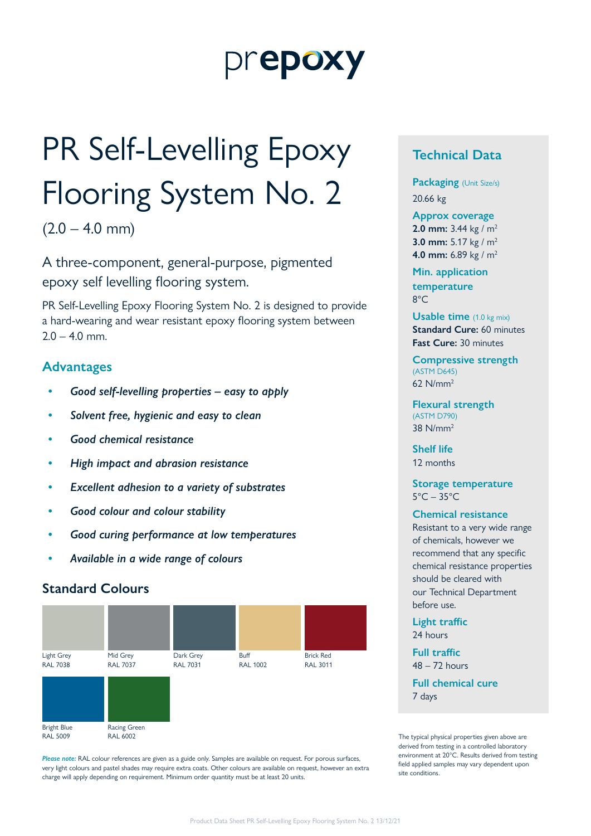# prepoxy

# PR Self-Levelling Epoxy Flooring System No. 2

 $(2.0 - 4.0$  mm)

A three-component, general-purpose, pigmented epoxy self levelling flooring system.

PR Self-Levelling Epoxy Flooring System No. 2 is designed to provide a hard-wearing and wear resistant epoxy flooring system between  $2.0 - 4.0$  mm.

### **Advantages**

- *• Good self-levelling properties easy to apply*
- *• Solvent free, hygienic and easy to clean*
- *• Good chemical resistance*
- *• High impact and abrasion resistance*
- *• Excellent adhesion to a variety of substrates*
- *• Good colour and colour stability*
- *• Good curing performance at low temperatures*
- *• Available in a wide range of colours*

### **Standard Colours**



*Please note:* RAL colour references are given as a guide only. Samples are available on request. For porous surfaces, very light colours and pastel shades may require extra coats. Other colours are available on request, however an extra charge will apply depending on requirement. Minimum order quantity must be at least 20 units.

# **Technical Data**

**Packaging** (Unit Size/s) 20.66 kg

#### **Approx coverage**

**2.0 mm:** 3.44 kg / m2 **3.0 mm:** 5.17 kg / m2 **4.0 mm:** 6.89 kg / m2

**Min. application temperature** 8°C

**Usable time** (1.0 kg mix) **Standard Cure: 60 minutes Fast Cure:** 30 minutes

**Compressive strength**  (ASTM D645) 62 N/mm2

**Flexural strength**  (ASTM D790) 38 N/mm2

**Shelf life** 12 months

**Storage temperature**  $5^{\circ}$ C – 35 $^{\circ}$ C

#### **Chemical resistance**

Resistant to a very wide range of chemicals, however we recommend that any specific chemical resistance properties should be cleared with our Technical Department before use.

**Light traffic** 24 hours

**Full traffic** 48 – 72 hours **Full chemical cure**

7 days

The typical physical properties given above are derived from testing in a controlled laboratory environment at 20°C. Results derived from testing field applied samples may vary dependent upon site conditions.